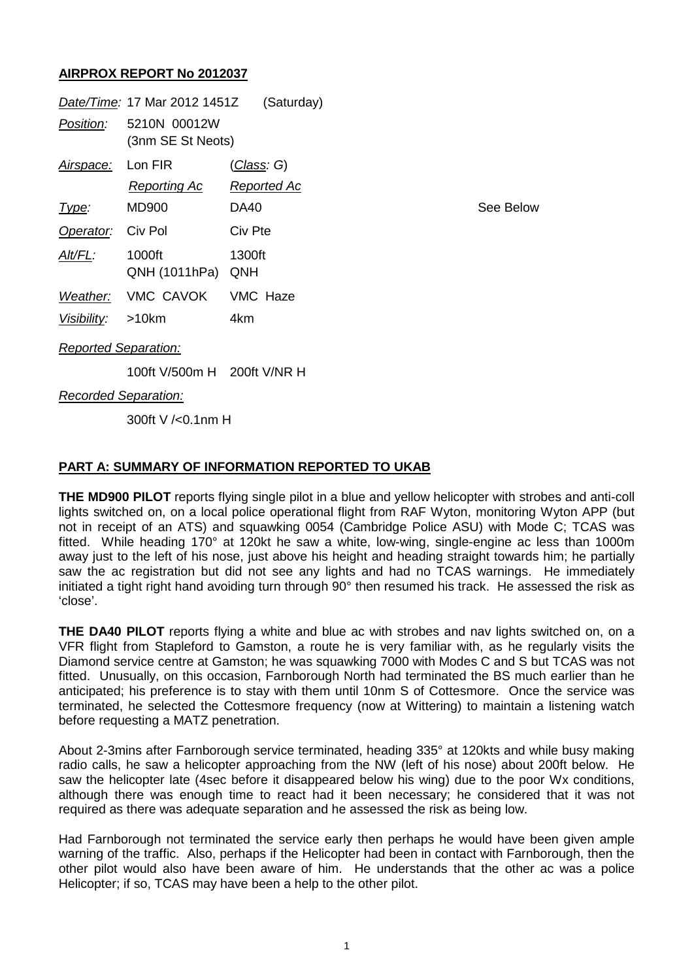### **AIRPROX REPORT No 2012037**

|             | Date/Time: 17 Mar 2012 1451Z      | (Saturday)         |           |
|-------------|-----------------------------------|--------------------|-----------|
| Position:   | 5210N 00012W<br>(3nm SE St Neots) |                    |           |
| Airspace:   | Lon FIR                           | (Class: G)         |           |
|             | <b>Reporting Ac</b>               | <b>Reported Ac</b> |           |
| Type:       | <b>MD900</b>                      | <b>DA40</b>        | See Below |
| Operator:   | Civ Pol                           | Civ Pte            |           |
| Alt/FL:     | 1000ft<br>QNH (1011hPa)           | 1300ft<br>QNH      |           |
| Weather:    | VMC CAVOK                         | VMC Haze           |           |
| Visibility: | $>10$ km                          | 4km                |           |

#### *Reported Separation:*

100ft V/500m H 200ft V/NR H

### *Recorded Separation:*

300ft V /<0.1nm H

# **PART A: SUMMARY OF INFORMATION REPORTED TO UKAB**

**THE MD900 PILOT** reports flying single pilot in a blue and yellow helicopter with strobes and anti-coll lights switched on, on a local police operational flight from RAF Wyton, monitoring Wyton APP (but not in receipt of an ATS) and squawking 0054 (Cambridge Police ASU) with Mode C; TCAS was fitted. While heading 170° at 120kt he saw a white, low-wing, single-engine ac less than 1000m away just to the left of his nose, just above his height and heading straight towards him; he partially saw the ac registration but did not see any lights and had no TCAS warnings. He immediately initiated a tight right hand avoiding turn through 90° then resumed his track. He assessed the risk as 'close'.

**THE DA40 PILOT** reports flying a white and blue ac with strobes and nav lights switched on, on a VFR flight from Stapleford to Gamston, a route he is very familiar with, as he regularly visits the Diamond service centre at Gamston; he was squawking 7000 with Modes C and S but TCAS was not fitted. Unusually, on this occasion, Farnborough North had terminated the BS much earlier than he anticipated; his preference is to stay with them until 10nm S of Cottesmore. Once the service was terminated, he selected the Cottesmore frequency (now at Wittering) to maintain a listening watch before requesting a MATZ penetration.

About 2-3mins after Farnborough service terminated, heading 335° at 120kts and while busy making radio calls, he saw a helicopter approaching from the NW (left of his nose) about 200ft below. He saw the helicopter late (4sec before it disappeared below his wing) due to the poor Wx conditions, although there was enough time to react had it been necessary; he considered that it was not required as there was adequate separation and he assessed the risk as being low.

Had Farnborough not terminated the service early then perhaps he would have been given ample warning of the traffic. Also, perhaps if the Helicopter had been in contact with Farnborough, then the other pilot would also have been aware of him. He understands that the other ac was a police Helicopter; if so, TCAS may have been a help to the other pilot.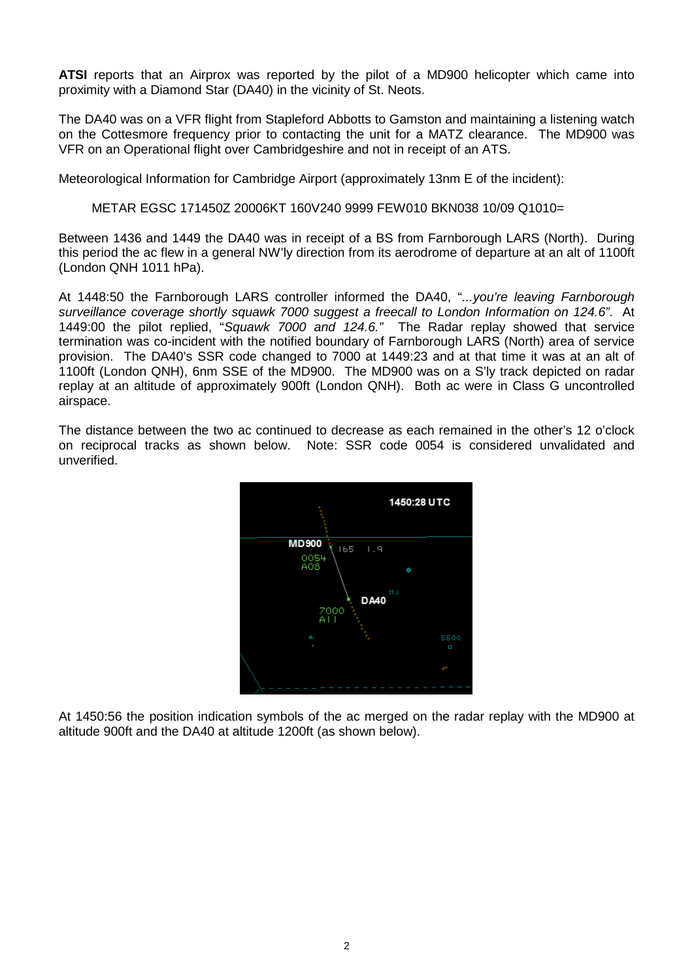**ATSI** reports that an Airprox was reported by the pilot of a MD900 helicopter which came into proximity with a Diamond Star (DA40) in the vicinity of St. Neots.

The DA40 was on a VFR flight from Stapleford Abbotts to Gamston and maintaining a listening watch on the Cottesmore frequency prior to contacting the unit for a MATZ clearance. The MD900 was VFR on an Operational flight over Cambridgeshire and not in receipt of an ATS.

Meteorological Information for Cambridge Airport (approximately 13nm E of the incident):

METAR EGSC 171450Z 20006KT 160V240 9999 FEW010 BKN038 10/09 Q1010=

Between 1436 and 1449 the DA40 was in receipt of a BS from Farnborough LARS (North). During this period the ac flew in a general NW'ly direction from its aerodrome of departure at an alt of 1100ft (London QNH 1011 hPa).

At 1448:50 the Farnborough LARS controller informed the DA40, "*...you're leaving Farnborough surveillance coverage shortly squawk 7000 suggest a freecall to London Information on 124.6"*. At 1449:00 the pilot replied, "*Squawk 7000 and 124.6."* The Radar replay showed that service termination was co-incident with the notified boundary of Farnborough LARS (North) area of service provision. The DA40's SSR code changed to 7000 at 1449:23 and at that time it was at an alt of 1100ft (London QNH), 6nm SSE of the MD900. The MD900 was on a S'ly track depicted on radar replay at an altitude of approximately 900ft (London QNH). Both ac were in Class G uncontrolled airspace.

The distance between the two ac continued to decrease as each remained in the other's 12 o'clock on reciprocal tracks as shown below. Note: SSR code 0054 is considered unvalidated and unverified.



At 1450:56 the position indication symbols of the ac merged on the radar replay with the MD900 at altitude 900ft and the DA40 at altitude 1200ft (as shown below).